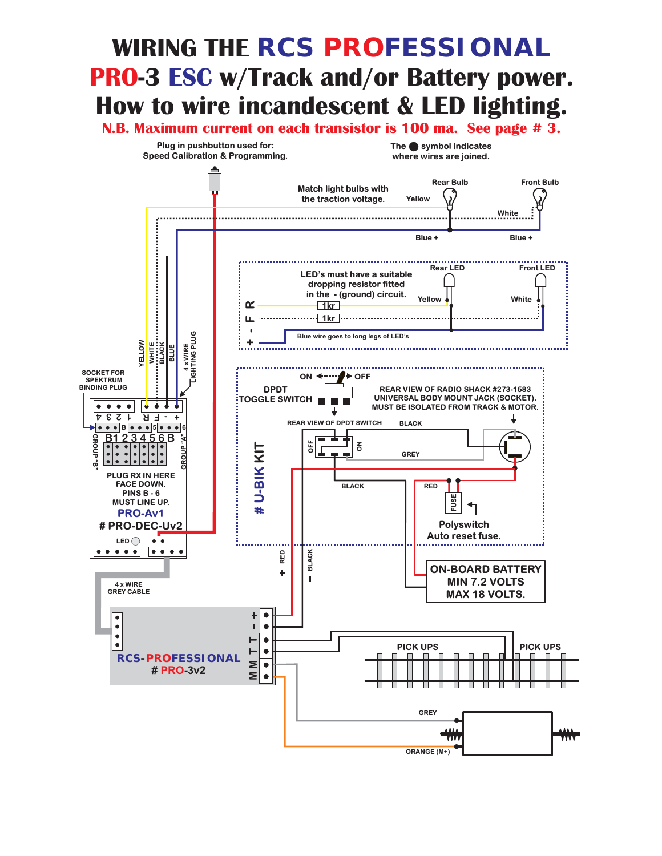